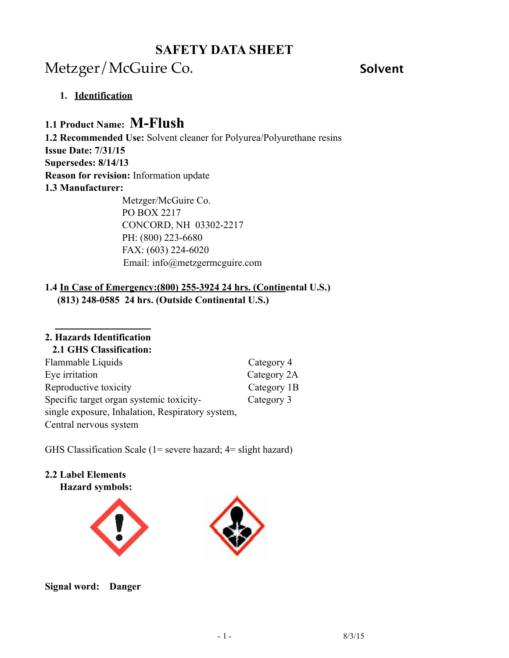# Metzger/McGuire Co. **Solvent**

### **1. Identification**

## **1.1 Product Name: M-Flush**

**1.2 Recommended Use:** Solvent cleaner for Polyurea/Polyurethane resins **Issue Date: 7/31/15 Supersedes: 8/14/13 Reason for revision:** Information update **1.3 Manufacturer:** Metzger/McGuire Co.

 PO BOX 2217 CONCORD, NH 03302-2217 PH: (800) 223-6680 FAX: (603) 224-6020 Email: info@metzgermcguire.com

### **1.4 In Case of Emergency:(800) 255-3924 24 hrs. (Continental U.S.) (813) 248-0585 24 hrs. (Outside Continental U.S.)**

#### **2. Hazards Identification**

#### **2.1 GHS Classification:**

| Flammable Liquids                                | Category 4  |
|--------------------------------------------------|-------------|
| Eye irritation                                   | Category 2A |
| Reproductive toxicity                            | Category 1B |
| Specific target organ systemic toxicity-         | Category 3  |
| single exposure, Inhalation, Respiratory system, |             |
| Central nervous system                           |             |

GHS Classification Scale (1= severe hazard; 4= slight hazard)

#### **2.2 Label Elements Hazard symbols:**





**Signal word: Danger**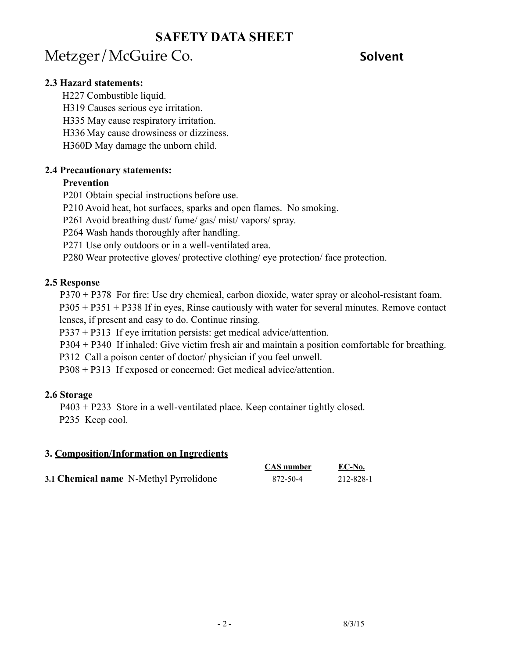# Metzger/McGuire Co. **Solvent**

#### **2.3 Hazard statements:**

H227 Combustible liquid.

H319 Causes serious eye irritation.

H335 May cause respiratory irritation.

H336 May cause drowsiness or dizziness.

H360D May damage the unborn child.

### **2.4 Precautionary statements:**

### **Prevention**

- P201 Obtain special instructions before use.
- P210 Avoid heat, hot surfaces, sparks and open flames. No smoking.

P261 Avoid breathing dust/ fume/ gas/ mist/ vapors/ spray.

P264 Wash hands thoroughly after handling.

P271 Use only outdoors or in a well-ventilated area.

P280 Wear protective gloves/ protective clothing/ eye protection/ face protection.

### **2.5 Response**

P370 + P378 For fire: Use dry chemical, carbon dioxide, water spray or alcohol-resistant foam.

 P305 + P351 + P338 If in eyes, Rinse cautiously with water for several minutes. Remove contact lenses, if present and easy to do. Continue rinsing.

P337 + P313 If eye irritation persists: get medical advice/attention.

P304 + P340 If inhaled: Give victim fresh air and maintain a position comfortable for breathing.

P312 Call a poison center of doctor/ physician if you feel unwell.

P308 + P313 If exposed or concerned: Get medical advice/attention.

## **2.6 Storage**

P403 + P233 Store in a well-ventilated place. Keep container tightly closed. P235 Keep cool.

### **3. Composition/Information on Ingredients**

|                                        | CAS number | EC-No.    |
|----------------------------------------|------------|-----------|
| 3.1 Chemical name N-Methyl Pyrrolidone | 872-50-4   | 212-828-1 |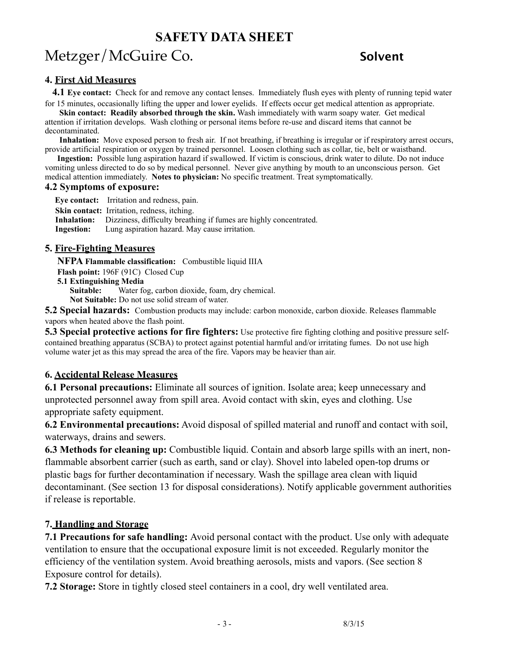# Metzger/McGuire Co. **Solvent**

#### **4. First Aid Measures**

 **4.1 Eye contact:** Check for and remove any contact lenses. Immediately flush eyes with plenty of running tepid water for 15 minutes, occasionally lifting the upper and lower eyelids. If effects occur get medical attention as appropriate.

**Skin contact: Readily absorbed through the skin.** Wash immediately with warm soapy water. Get medical attention if irritation develops. Wash clothing or personal items before re-use and discard items that cannot be decontaminated.

 **Inhalation:** Move exposed person to fresh air. If not breathing, if breathing is irregular or if respiratory arrest occurs, provide artificial respiration or oxygen by trained personnel. Loosen clothing such as collar, tie, belt or waistband.

 **Ingestion:** Possible lung aspiration hazard if swallowed. If victim is conscious, drink water to dilute. Do not induce vomiting unless directed to do so by medical personnel. Never give anything by mouth to an unconscious person. Get medical attention immediately. **Notes to physician:** No specific treatment. Treat symptomatically.

#### **4.2 Symptoms of exposure:**

 **Eye contact:** Irritation and redness, pain. **Skin contact:** Irritation, redness, itching. **Inhalation:** Dizziness, difficulty breathing if fumes are highly concentrated. **Ingestion:** Lung aspiration hazard. May cause irritation.

#### **5. Fire-Fighting Measures**

**NFPA Flammable classification:** Combustible liquid IIIA

**Flash point:** 196F (91C) Closed Cup

**5.1 Extinguishing Media**

Water fog, carbon dioxide, foam, dry chemical.

**Not Suitable:** Do not use solid stream of water.

**5.2 Special hazards:** Combustion products may include: carbon monoxide, carbon dioxide. Releases flammable vapors when heated above the flash point.

**5.3 Special protective actions for fire fighters:** Use protective fire fighting clothing and positive pressure selfcontained breathing apparatus (SCBA) to protect against potential harmful and/or irritating fumes. Do not use high volume water jet as this may spread the area of the fire. Vapors may be heavier than air.

#### **6. Accidental Release Measures**

**6.1 Personal precautions:** Eliminate all sources of ignition. Isolate area; keep unnecessary and unprotected personnel away from spill area. Avoid contact with skin, eyes and clothing. Use appropriate safety equipment.

**6.2 Environmental precautions:** Avoid disposal of spilled material and runoff and contact with soil, waterways, drains and sewers.

**6.3 Methods for cleaning up:** Combustible liquid. Contain and absorb large spills with an inert, nonflammable absorbent carrier (such as earth, sand or clay). Shovel into labeled open-top drums or plastic bags for further decontamination if necessary. Wash the spillage area clean with liquid decontaminant. (See section 13 for disposal considerations). Notify applicable government authorities if release is reportable.

#### **7. Handling and Storage**

**7.1 Precautions for safe handling:** Avoid personal contact with the product. Use only with adequate ventilation to ensure that the occupational exposure limit is not exceeded. Regularly monitor the efficiency of the ventilation system. Avoid breathing aerosols, mists and vapors. (See section 8 Exposure control for details).

**7.2 Storage:** Store in tightly closed steel containers in a cool, dry well ventilated area.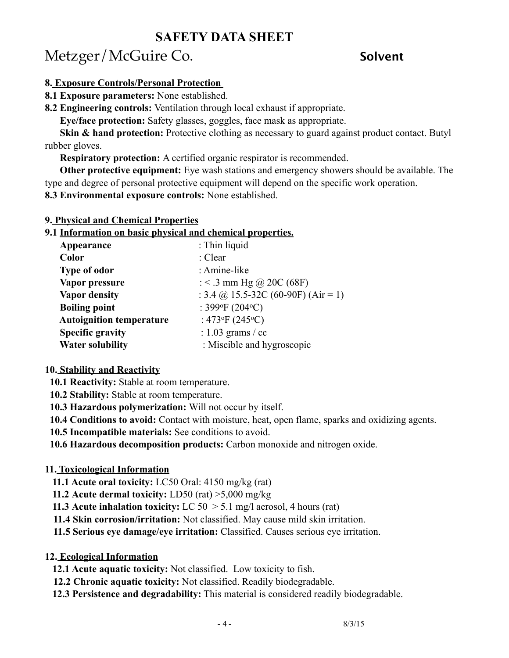# Metzger/McGuire Co. **Solvent**

#### **8. Exposure Controls/Personal Protection**

#### **8.1 Exposure parameters:** None established.

**8.2 Engineering controls:** Ventilation through local exhaust if appropriate.

**Eye/face protection:** Safety glasses, goggles, face mask as appropriate.

**Skin & hand protection:** Protective clothing as necessary to guard against product contact. Butyl rubber gloves.

**Respiratory protection:** A certified organic respirator is recommended.

 **Other protective equipment:** Eye wash stations and emergency showers should be available. The type and degree of personal protective equipment will depend on the specific work operation.

**8.3 Environmental exposure controls:** None established.

#### **9. Physical and Chemical Properties**

#### **9.1 Information on basic physical and chemical properties.**

| Appearance                      | : Thin liquid                              |
|---------------------------------|--------------------------------------------|
| Color                           | : Clear                                    |
| <b>Type of odor</b>             | : Amine-like                               |
| Vapor pressure                  | : < .3 mm Hg @ 20C (68F)                   |
| <b>Vapor density</b>            | : 3.4 @ 15.5-32C (60-90F) (Air = 1)        |
| <b>Boiling point</b>            | : 399 $\mathrm{P}F(204\mathrm{^{\circ}C})$ |
| <b>Autoignition temperature</b> | : 473°F (245°C)                            |
| <b>Specific gravity</b>         | : $1.03$ grams / cc                        |
| <b>Water solubility</b>         | : Miscible and hygroscopic                 |

#### **10. Stability and Reactivity**

 **10.1 Reactivity:** Stable at room temperature.

 **10.2 Stability:** Stable at room temperature.

**10.3 Hazardous polymerization:** Will not occur by itself.

**10.4 Conditions to avoid:** Contact with moisture, heat, open flame, sparks and oxidizing agents.

**10.5 Incompatible materials:** See conditions to avoid.

**10.6 Hazardous decomposition products:** Carbon monoxide and nitrogen oxide.

#### **11. Toxicological Information**

- **11.1 Acute oral toxicity:** LC50 Oral: 4150 mg/kg (rat)
- **11.2 Acute dermal toxicity:** LD50 (rat) >5,000 mg/kg
- **11.3 Acute inhalation toxicity:** LC 50 > 5.1 mg/l aerosol, 4 hours (rat)
- **11.4 Skin corrosion/irritation:** Not classified. May cause mild skin irritation.
- **11.5 Serious eye damage/eye irritation:** Classified. Causes serious eye irritation.
- **12. Ecological Information**
	- **12.1 Acute aquatic toxicity:** Not classified. Low toxicity to fish.
	- **12.2 Chronic aquatic toxicity:** Not classified. Readily biodegradable.
	- **12.3 Persistence and degradability:** This material is considered readily biodegradable.